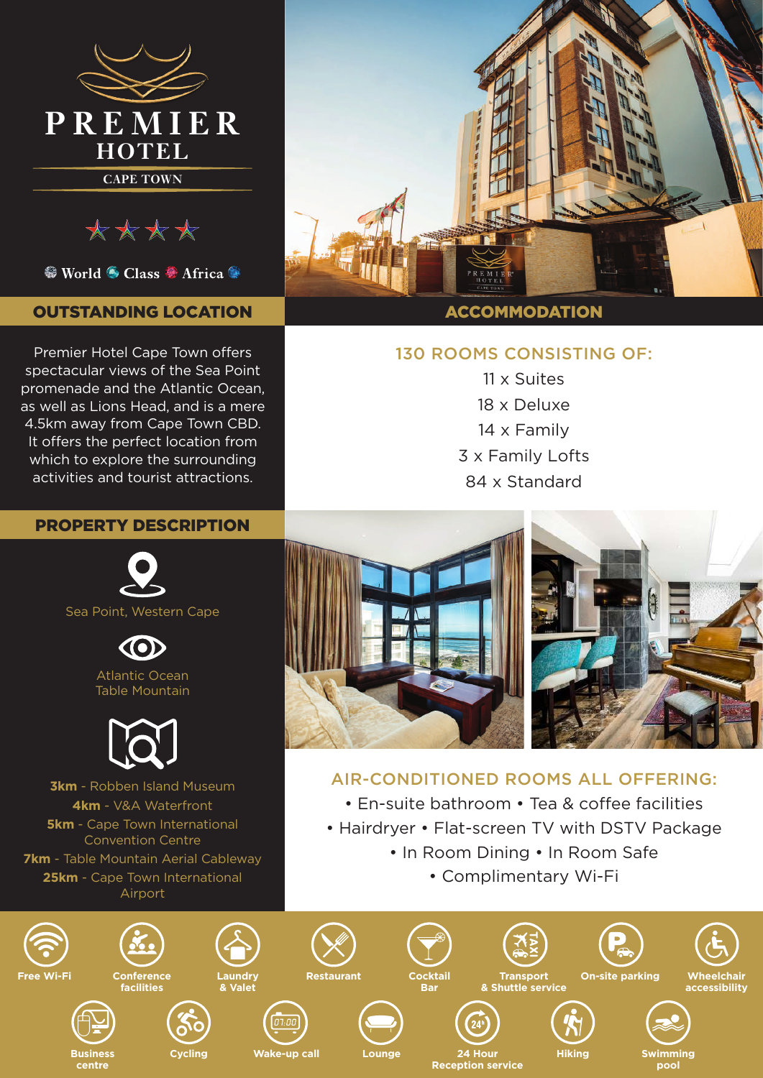

\*\*\*\*

<sup>●</sup> World ● Class ● Africa ●

## OUTSTANDING LOCATION

Premier Hotel Cape Town offers spectacular views of the Sea Point promenade and the Atlantic Ocean, as well as Lions Head, and is a mere 4.5km away from Cape Town CBD. It offers the perfect location from which to explore the surrounding activities and tourist attractions.

### PROPERTY DESCRIPTION





Atlantic Ocean Table Mountain



**3km** - Robben Island Museum **4km** - V&A Waterfront **5km** - Cape Town International Convention Centre **7km** - Table Mountain Aerial Cableway **25km** - Cape Town International Airport

**centre**



### ACCOMMODATION

### 130 ROOMS CONSISTING OF:

11 x Suites 18 x Deluxe 14 x Family 3 x Family Lofts 84 x Standard



# AIR-CONDITIONED ROOMS ALL OFFERING:

• En-suite bathroom • Tea & coffee facilities

- Hairdryer Flat-screen TV with DSTV Package
	- In Room Dining In Room Safe
		- Complimentary Wi-Fi

**pool**

**Reception service**

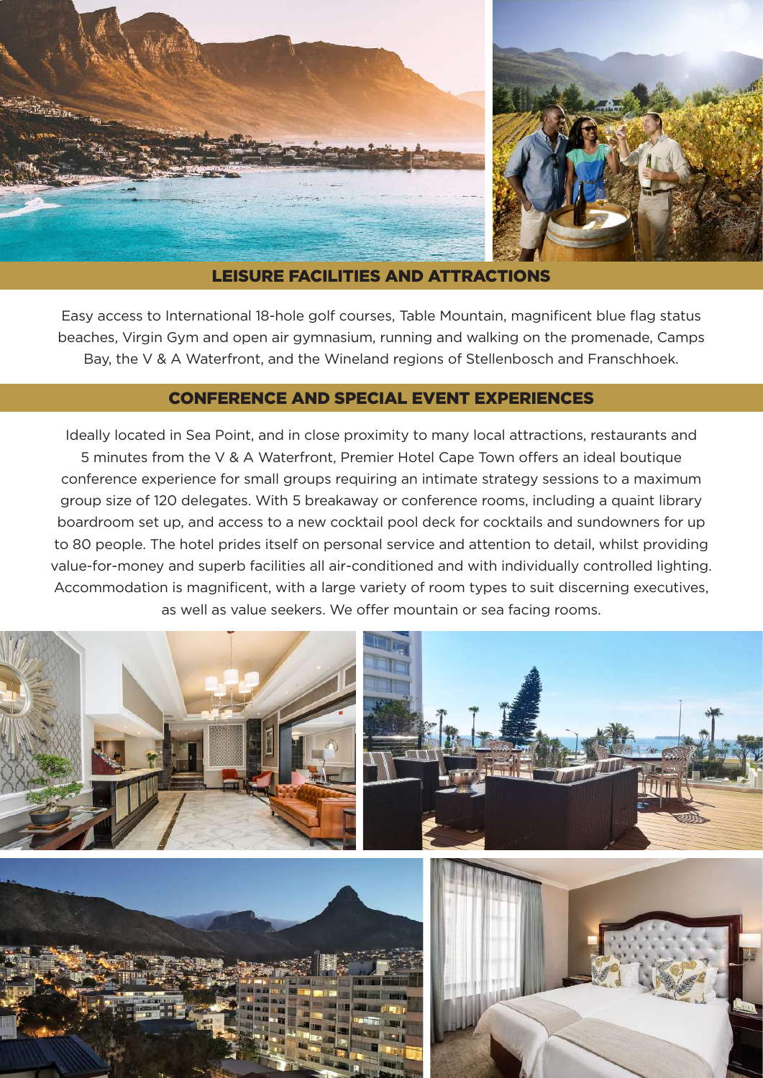

LEISURE FACILITIES AND ATTRACTIONS

Easy access to International 18-hole golf courses, Table Mountain, magnificent blue flag status beaches, Virgin Gym and open air gymnasium, running and walking on the promenade, Camps Bay, the V & A Waterfront, and the Wineland regions of Stellenbosch and Franschhoek.

### CONFERENCE AND SPECIAL EVENT EXPERIENCES

Ideally located in Sea Point, and in close proximity to many local attractions, restaurants and 5 minutes from the V & A Waterfront, Premier Hotel Cape Town offers an ideal boutique conference experience for small groups requiring an intimate strategy sessions to a maximum group size of 120 delegates. With 5 breakaway or conference rooms, including a quaint library boardroom set up, and access to a new cocktail pool deck for cocktails and sundowners for up to 80 people. The hotel prides itself on personal service and attention to detail, whilst providing value-for-money and superb facilities all air-conditioned and with individually controlled lighting. Accommodation is magnificent, with a large variety of room types to suit discerning executives, as well as value seekers. We offer mountain or sea facing rooms.